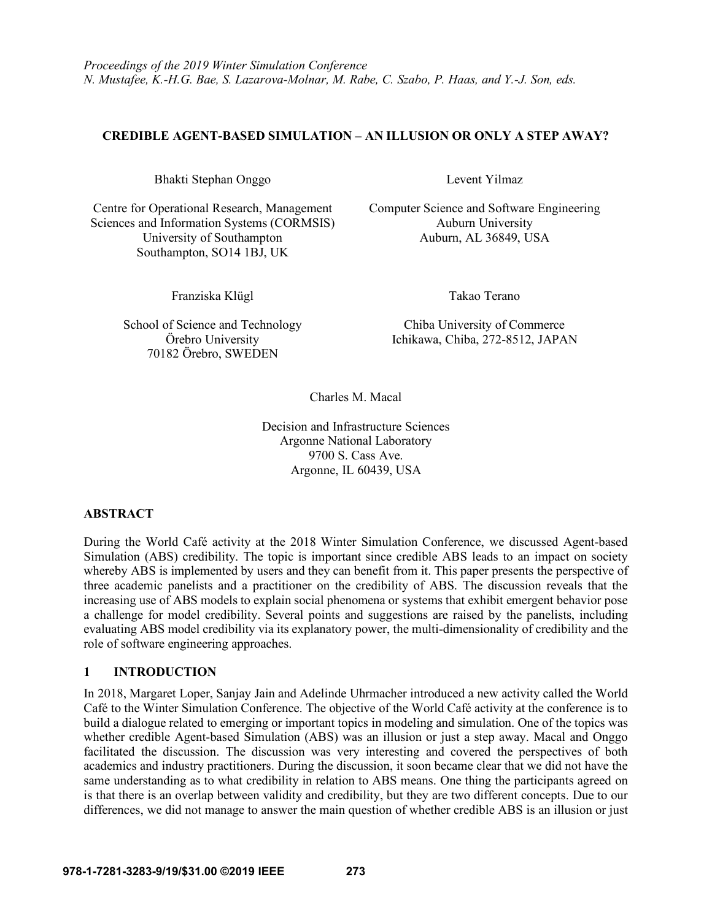# **CREDIBLE AGENT-BASED SIMULATION – AN ILLUSION OR ONLY A STEP AWAY?**

Bhakti Stephan Onggo Levent Yilmaz

Centre for Operational Research, Management Computer Science and Software Engineering Sciences and Information Systems (CORMSIS) Auburn University University of Southampton Auburn, AL 36849, USA Southampton, SO14 1BJ, UK

Franziska Klügl Takao Terano

School of Science and Technology Chiba University of Commerce 70182 Örebro, SWEDEN

Örebro University Ichikawa, Chiba, 272-8512, JAPAN

Charles M. Macal

Decision and Infrastructure Sciences Argonne National Laboratory 9700 S. Cass Ave. Argonne, IL 60439, USA

# **ABSTRACT**

During the World Café activity at the 2018 Winter Simulation Conference, we discussed Agent-based Simulation (ABS) credibility. The topic is important since credible ABS leads to an impact on society whereby ABS is implemented by users and they can benefit from it. This paper presents the perspective of three academic panelists and a practitioner on the credibility of ABS. The discussion reveals that the increasing use of ABS models to explain social phenomena or systems that exhibit emergent behavior pose a challenge for model credibility. Several points and suggestions are raised by the panelists, including evaluating ABS model credibility via its explanatory power, the multi-dimensionality of credibility and the role of software engineering approaches.

# **1 INTRODUCTION**

In 2018, Margaret Loper, Sanjay Jain and Adelinde Uhrmacher introduced a new activity called the World Café to the Winter Simulation Conference. The objective of the World Café activity at the conference is to build a dialogue related to emerging or important topics in modeling and simulation. One of the topics was whether credible Agent-based Simulation (ABS) was an illusion or just a step away. Macal and Onggo facilitated the discussion. The discussion was very interesting and covered the perspectives of both academics and industry practitioners. During the discussion, it soon became clear that we did not have the same understanding as to what credibility in relation to ABS means. One thing the participants agreed on is that there is an overlap between validity and credibility, but they are two different concepts. Due to our differences, we did not manage to answer the main question of whether credible ABS is an illusion or just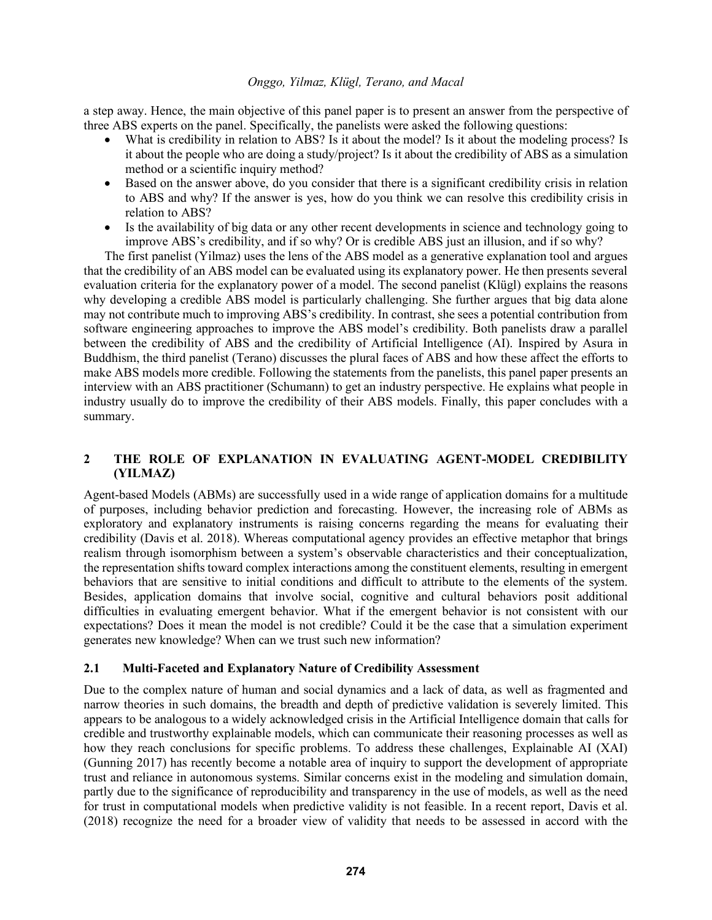a step away. Hence, the main objective of this panel paper is to present an answer from the perspective of three ABS experts on the panel. Specifically, the panelists were asked the following questions:

- What is credibility in relation to ABS? Is it about the model? Is it about the modeling process? Is it about the people who are doing a study/project? Is it about the credibility of ABS as a simulation method or a scientific inquiry method?
- Based on the answer above, do you consider that there is a significant credibility crisis in relation to ABS and why? If the answer is yes, how do you think we can resolve this credibility crisis in relation to ABS?
- Is the availability of big data or any other recent developments in science and technology going to improve ABS's credibility, and if so why? Or is credible ABS just an illusion, and if so why?

The first panelist (Yilmaz) uses the lens of the ABS model as a generative explanation tool and argues that the credibility of an ABS model can be evaluated using its explanatory power. He then presents several evaluation criteria for the explanatory power of a model. The second panelist (Klügl) explains the reasons why developing a credible ABS model is particularly challenging. She further argues that big data alone may not contribute much to improving ABS's credibility. In contrast, she sees a potential contribution from software engineering approaches to improve the ABS model's credibility. Both panelists draw a parallel between the credibility of ABS and the credibility of Artificial Intelligence (AI). Inspired by Asura in Buddhism, the third panelist (Terano) discusses the plural faces of ABS and how these affect the efforts to make ABS models more credible. Following the statements from the panelists, this panel paper presents an interview with an ABS practitioner (Schumann) to get an industry perspective. He explains what people in industry usually do to improve the credibility of their ABS models. Finally, this paper concludes with a summary.

# **2 THE ROLE OF EXPLANATION IN EVALUATING AGENT-MODEL CREDIBILITY (YILMAZ)**

Agent-based Models (ABMs) are successfully used in a wide range of application domains for a multitude of purposes, including behavior prediction and forecasting. However, the increasing role of ABMs as exploratory and explanatory instruments is raising concerns regarding the means for evaluating their credibility (Davis et al. 2018). Whereas computational agency provides an effective metaphor that brings realism through isomorphism between a system's observable characteristics and their conceptualization, the representation shifts toward complex interactions among the constituent elements, resulting in emergent behaviors that are sensitive to initial conditions and difficult to attribute to the elements of the system. Besides, application domains that involve social, cognitive and cultural behaviors posit additional difficulties in evaluating emergent behavior. What if the emergent behavior is not consistent with our expectations? Does it mean the model is not credible? Could it be the case that a simulation experiment generates new knowledge? When can we trust such new information?

# **2.1 Multi-Faceted and Explanatory Nature of Credibility Assessment**

Due to the complex nature of human and social dynamics and a lack of data, as well as fragmented and narrow theories in such domains, the breadth and depth of predictive validation is severely limited. This appears to be analogous to a widely acknowledged crisis in the Artificial Intelligence domain that calls for credible and trustworthy explainable models, which can communicate their reasoning processes as well as how they reach conclusions for specific problems. To address these challenges, Explainable AI (XAI) (Gunning 2017) has recently become a notable area of inquiry to support the development of appropriate trust and reliance in autonomous systems. Similar concerns exist in the modeling and simulation domain, partly due to the significance of reproducibility and transparency in the use of models, as well as the need for trust in computational models when predictive validity is not feasible. In a recent report, Davis et al. (2018) recognize the need for a broader view of validity that needs to be assessed in accord with the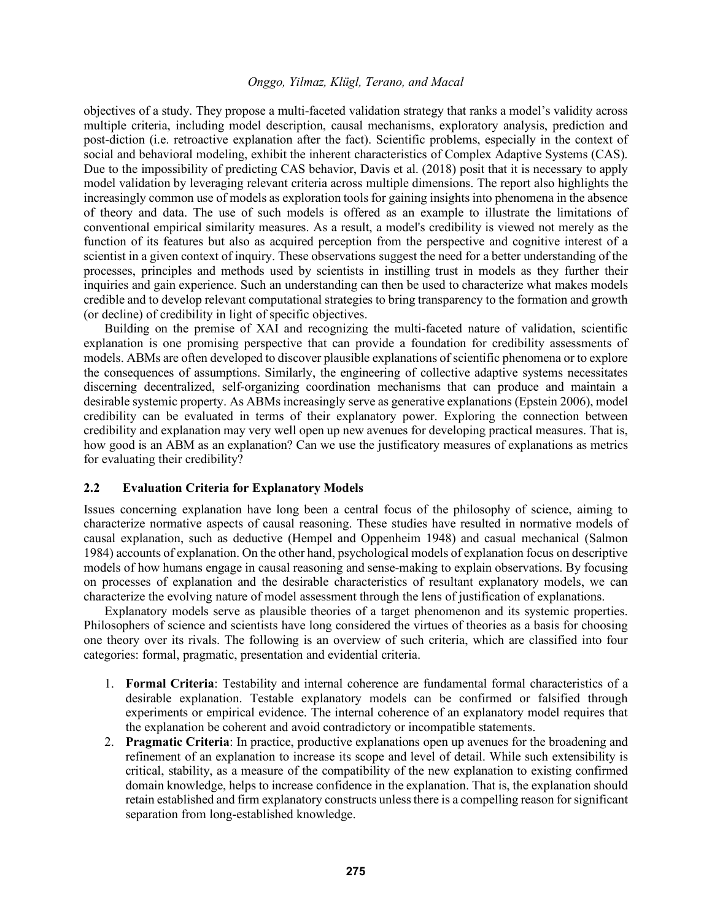objectives of a study. They propose a multi-faceted validation strategy that ranks a model's validity across multiple criteria, including model description, causal mechanisms, exploratory analysis, prediction and post-diction (i.e. retroactive explanation after the fact). Scientific problems, especially in the context of social and behavioral modeling, exhibit the inherent characteristics of Complex Adaptive Systems (CAS). Due to the impossibility of predicting CAS behavior, Davis et al. (2018) posit that it is necessary to apply model validation by leveraging relevant criteria across multiple dimensions. The report also highlights the increasingly common use of models as exploration tools for gaining insights into phenomena in the absence of theory and data. The use of such models is offered as an example to illustrate the limitations of conventional empirical similarity measures. As a result, a model's credibility is viewed not merely as the function of its features but also as acquired perception from the perspective and cognitive interest of a scientist in a given context of inquiry. These observations suggest the need for a better understanding of the processes, principles and methods used by scientists in instilling trust in models as they further their inquiries and gain experience. Such an understanding can then be used to characterize what makes models credible and to develop relevant computational strategies to bring transparency to the formation and growth (or decline) of credibility in light of specific objectives.

Building on the premise of XAI and recognizing the multi-faceted nature of validation, scientific explanation is one promising perspective that can provide a foundation for credibility assessments of models. ABMs are often developed to discover plausible explanations of scientific phenomena or to explore the consequences of assumptions. Similarly, the engineering of collective adaptive systems necessitates discerning decentralized, self-organizing coordination mechanisms that can produce and maintain a desirable systemic property. As ABMs increasingly serve as generative explanations (Epstein 2006), model credibility can be evaluated in terms of their explanatory power. Exploring the connection between credibility and explanation may very well open up new avenues for developing practical measures. That is, how good is an ABM as an explanation? Can we use the justificatory measures of explanations as metrics for evaluating their credibility?

### **2.2 Evaluation Criteria for Explanatory Models**

Issues concerning explanation have long been a central focus of the philosophy of science, aiming to characterize normative aspects of causal reasoning. These studies have resulted in normative models of causal explanation, such as deductive (Hempel and Oppenheim 1948) and casual mechanical (Salmon 1984) accounts of explanation. On the other hand, psychological models of explanation focus on descriptive models of how humans engage in causal reasoning and sense-making to explain observations. By focusing on processes of explanation and the desirable characteristics of resultant explanatory models, we can characterize the evolving nature of model assessment through the lens of justification of explanations.

Explanatory models serve as plausible theories of a target phenomenon and its systemic properties. Philosophers of science and scientists have long considered the virtues of theories as a basis for choosing one theory over its rivals. The following is an overview of such criteria, which are classified into four categories: formal, pragmatic, presentation and evidential criteria.

- 1. **Formal Criteria**: Testability and internal coherence are fundamental formal characteristics of a desirable explanation. Testable explanatory models can be confirmed or falsified through experiments or empirical evidence. The internal coherence of an explanatory model requires that the explanation be coherent and avoid contradictory or incompatible statements.
- 2. **Pragmatic Criteria**: In practice, productive explanations open up avenues for the broadening and refinement of an explanation to increase its scope and level of detail. While such extensibility is critical, stability, as a measure of the compatibility of the new explanation to existing confirmed domain knowledge, helps to increase confidence in the explanation. That is, the explanation should retain established and firm explanatory constructs unless there is a compelling reason for significant separation from long-established knowledge.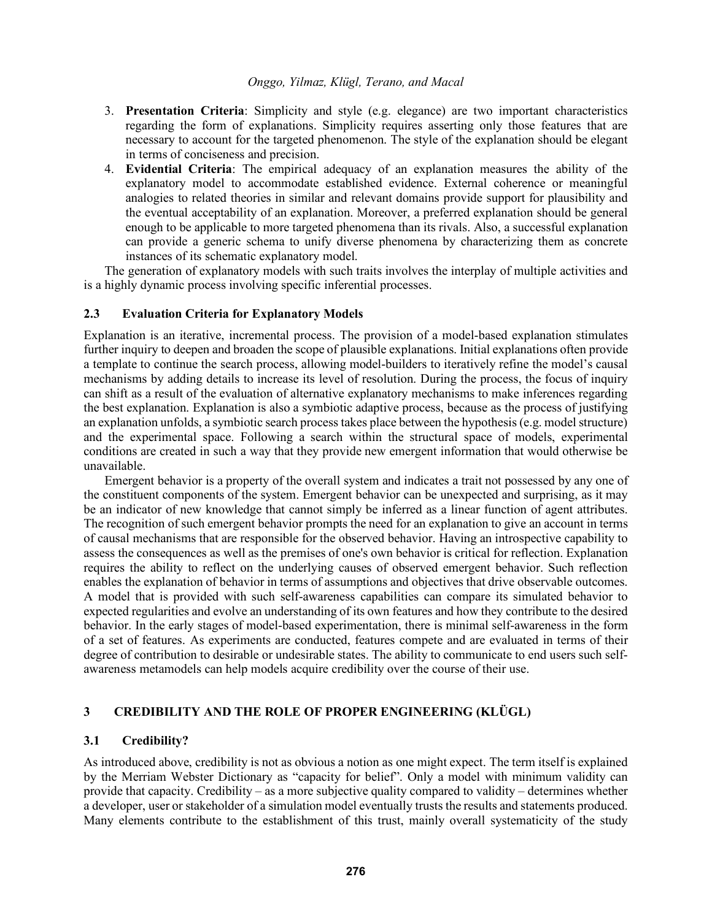- 3. **Presentation Criteria**: Simplicity and style (e.g. elegance) are two important characteristics regarding the form of explanations. Simplicity requires asserting only those features that are necessary to account for the targeted phenomenon. The style of the explanation should be elegant in terms of conciseness and precision.
- 4. **Evidential Criteria**: The empirical adequacy of an explanation measures the ability of the explanatory model to accommodate established evidence. External coherence or meaningful analogies to related theories in similar and relevant domains provide support for plausibility and the eventual acceptability of an explanation. Moreover, a preferred explanation should be general enough to be applicable to more targeted phenomena than its rivals. Also, a successful explanation can provide a generic schema to unify diverse phenomena by characterizing them as concrete instances of its schematic explanatory model.

The generation of explanatory models with such traits involves the interplay of multiple activities and is a highly dynamic process involving specific inferential processes.

### **2.3 Evaluation Criteria for Explanatory Models**

Explanation is an iterative, incremental process. The provision of a model-based explanation stimulates further inquiry to deepen and broaden the scope of plausible explanations. Initial explanations often provide a template to continue the search process, allowing model-builders to iteratively refine the model's causal mechanisms by adding details to increase its level of resolution. During the process, the focus of inquiry can shift as a result of the evaluation of alternative explanatory mechanisms to make inferences regarding the best explanation. Explanation is also a symbiotic adaptive process, because as the process of justifying an explanation unfolds, a symbiotic search process takes place between the hypothesis (e.g. model structure) and the experimental space. Following a search within the structural space of models, experimental conditions are created in such a way that they provide new emergent information that would otherwise be unavailable.

Emergent behavior is a property of the overall system and indicates a trait not possessed by any one of the constituent components of the system. Emergent behavior can be unexpected and surprising, as it may be an indicator of new knowledge that cannot simply be inferred as a linear function of agent attributes. The recognition of such emergent behavior prompts the need for an explanation to give an account in terms of causal mechanisms that are responsible for the observed behavior. Having an introspective capability to assess the consequences as well as the premises of one's own behavior is critical for reflection. Explanation requires the ability to reflect on the underlying causes of observed emergent behavior. Such reflection enables the explanation of behavior in terms of assumptions and objectives that drive observable outcomes. A model that is provided with such self-awareness capabilities can compare its simulated behavior to expected regularities and evolve an understanding of its own features and how they contribute to the desired behavior. In the early stages of model-based experimentation, there is minimal self-awareness in the form of a set of features. As experiments are conducted, features compete and are evaluated in terms of their degree of contribution to desirable or undesirable states. The ability to communicate to end users such selfawareness metamodels can help models acquire credibility over the course of their use.

# **3 CREDIBILITY AND THE ROLE OF PROPER ENGINEERING (KLÜGL)**

# **3.1 Credibility?**

As introduced above, credibility is not as obvious a notion as one might expect. The term itself is explained by the Merriam Webster Dictionary as "capacity for belief". Only a model with minimum validity can provide that capacity. Credibility – as a more subjective quality compared to validity – determines whether a developer, user or stakeholder of a simulation model eventually trusts the results and statements produced. Many elements contribute to the establishment of this trust, mainly overall systematicity of the study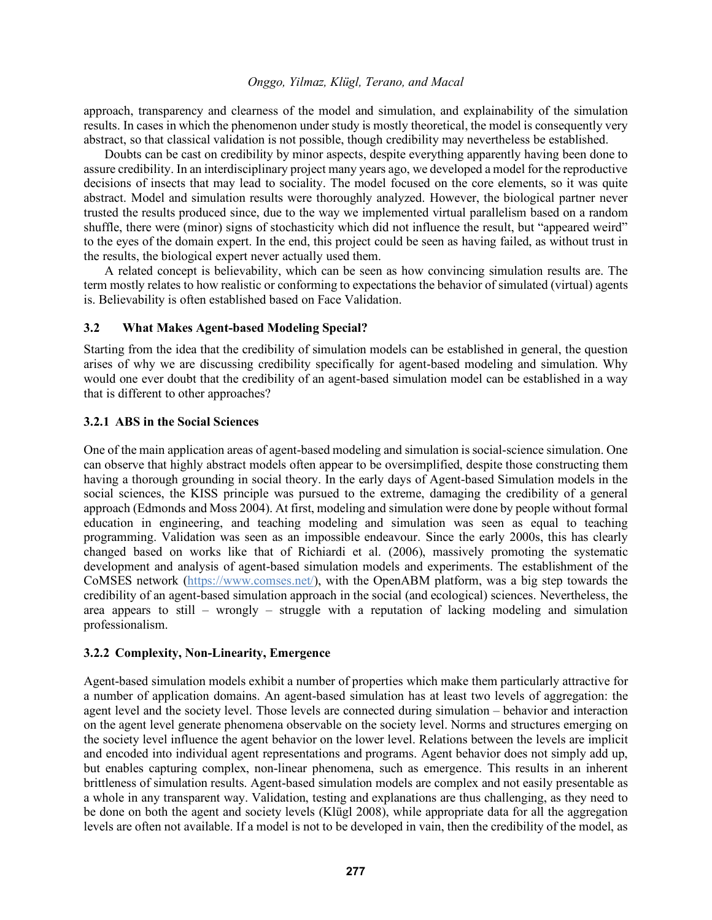approach, transparency and clearness of the model and simulation, and explainability of the simulation results. In cases in which the phenomenon under study is mostly theoretical, the model is consequently very abstract, so that classical validation is not possible, though credibility may nevertheless be established.

Doubts can be cast on credibility by minor aspects, despite everything apparently having been done to assure credibility. In an interdisciplinary project many years ago, we developed a model for the reproductive decisions of insects that may lead to sociality. The model focused on the core elements, so it was quite abstract. Model and simulation results were thoroughly analyzed. However, the biological partner never trusted the results produced since, due to the way we implemented virtual parallelism based on a random shuffle, there were (minor) signs of stochasticity which did not influence the result, but "appeared weird" to the eyes of the domain expert. In the end, this project could be seen as having failed, as without trust in the results, the biological expert never actually used them.

A related concept is believability, which can be seen as how convincing simulation results are. The term mostly relates to how realistic or conforming to expectations the behavior of simulated (virtual) agents is. Believability is often established based on Face Validation.

# **3.2 What Makes Agent-based Modeling Special?**

Starting from the idea that the credibility of simulation models can be established in general, the question arises of why we are discussing credibility specifically for agent-based modeling and simulation. Why would one ever doubt that the credibility of an agent-based simulation model can be established in a way that is different to other approaches?

# **3.2.1 ABS in the Social Sciences**

One of the main application areas of agent-based modeling and simulation is social-science simulation. One can observe that highly abstract models often appear to be oversimplified, despite those constructing them having a thorough grounding in social theory. In the early days of Agent-based Simulation models in the social sciences, the KISS principle was pursued to the extreme, damaging the credibility of a general approach (Edmonds and Moss 2004). At first, modeling and simulation were done by people without formal education in engineering, and teaching modeling and simulation was seen as equal to teaching programming. Validation was seen as an impossible endeavour. Since the early 2000s, this has clearly changed based on works like that of Richiardi et al. (2006), massively promoting the systematic development and analysis of agent-based simulation models and experiments. The establishment of the CoMSES network (https://www.comses.net/), with the OpenABM platform, was a big step towards the credibility of an agent-based simulation approach in the social (and ecological) sciences. Nevertheless, the area appears to still – wrongly – struggle with a reputation of lacking modeling and simulation professionalism.

# **3.2.2 Complexity, Non-Linearity, Emergence**

Agent-based simulation models exhibit a number of properties which make them particularly attractive for a number of application domains. An agent-based simulation has at least two levels of aggregation: the agent level and the society level. Those levels are connected during simulation – behavior and interaction on the agent level generate phenomena observable on the society level. Norms and structures emerging on the society level influence the agent behavior on the lower level. Relations between the levels are implicit and encoded into individual agent representations and programs. Agent behavior does not simply add up, but enables capturing complex, non-linear phenomena, such as emergence. This results in an inherent brittleness of simulation results. Agent-based simulation models are complex and not easily presentable as a whole in any transparent way. Validation, testing and explanations are thus challenging, as they need to be done on both the agent and society levels (Klügl 2008), while appropriate data for all the aggregation levels are often not available. If a model is not to be developed in vain, then the credibility of the model, as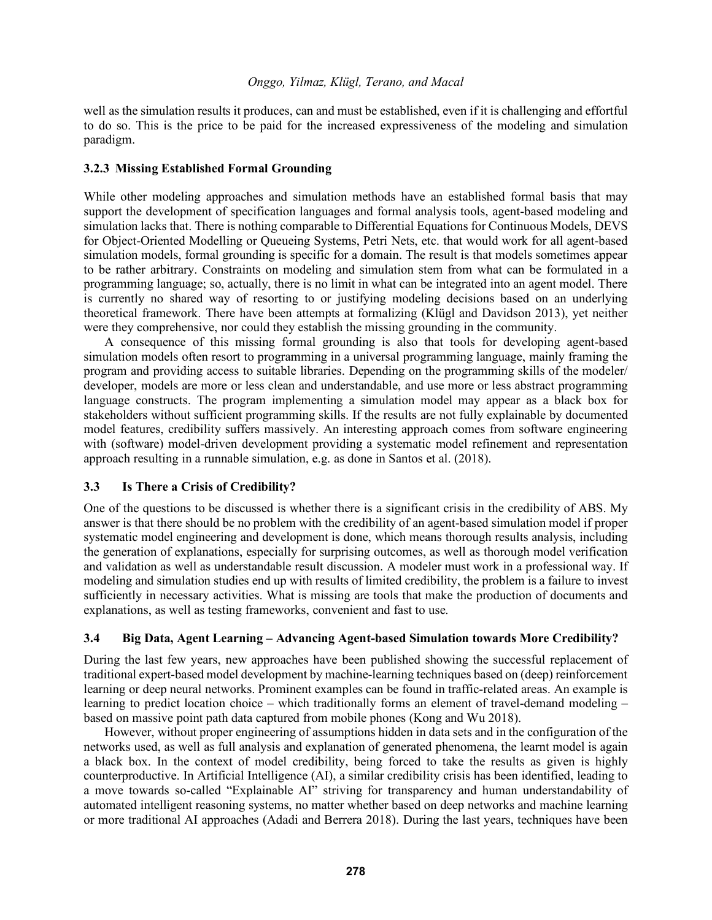well as the simulation results it produces, can and must be established, even if it is challenging and effortful to do so. This is the price to be paid for the increased expressiveness of the modeling and simulation paradigm.

# **3.2.3 Missing Established Formal Grounding**

While other modeling approaches and simulation methods have an established formal basis that may support the development of specification languages and formal analysis tools, agent-based modeling and simulation lacks that. There is nothing comparable to Differential Equations for Continuous Models, DEVS for Object-Oriented Modelling or Queueing Systems, Petri Nets, etc. that would work for all agent-based simulation models, formal grounding is specific for a domain. The result is that models sometimes appear to be rather arbitrary. Constraints on modeling and simulation stem from what can be formulated in a programming language; so, actually, there is no limit in what can be integrated into an agent model. There is currently no shared way of resorting to or justifying modeling decisions based on an underlying theoretical framework. There have been attempts at formalizing (Klügl and Davidson 2013), yet neither were they comprehensive, nor could they establish the missing grounding in the community.

A consequence of this missing formal grounding is also that tools for developing agent-based simulation models often resort to programming in a universal programming language, mainly framing the program and providing access to suitable libraries. Depending on the programming skills of the modeler/ developer, models are more or less clean and understandable, and use more or less abstract programming language constructs. The program implementing a simulation model may appear as a black box for stakeholders without sufficient programming skills. If the results are not fully explainable by documented model features, credibility suffers massively. An interesting approach comes from software engineering with (software) model-driven development providing a systematic model refinement and representation approach resulting in a runnable simulation, e.g. as done in Santos et al. (2018).

# **3.3 Is There a Crisis of Credibility?**

One of the questions to be discussed is whether there is a significant crisis in the credibility of ABS. My answer is that there should be no problem with the credibility of an agent-based simulation model if proper systematic model engineering and development is done, which means thorough results analysis, including the generation of explanations, especially for surprising outcomes, as well as thorough model verification and validation as well as understandable result discussion. A modeler must work in a professional way. If modeling and simulation studies end up with results of limited credibility, the problem is a failure to invest sufficiently in necessary activities. What is missing are tools that make the production of documents and explanations, as well as testing frameworks, convenient and fast to use.

# **3.4 Big Data, Agent Learning – Advancing Agent-based Simulation towards More Credibility?**

During the last few years, new approaches have been published showing the successful replacement of traditional expert-based model development by machine-learning techniques based on (deep) reinforcement learning or deep neural networks. Prominent examples can be found in traffic-related areas. An example is learning to predict location choice – which traditionally forms an element of travel-demand modeling – based on massive point path data captured from mobile phones (Kong and Wu 2018).

However, without proper engineering of assumptions hidden in data sets and in the configuration of the networks used, as well as full analysis and explanation of generated phenomena, the learnt model is again a black box. In the context of model credibility, being forced to take the results as given is highly counterproductive. In Artificial Intelligence (AI), a similar credibility crisis has been identified, leading to a move towards so-called "Explainable AI" striving for transparency and human understandability of automated intelligent reasoning systems, no matter whether based on deep networks and machine learning or more traditional AI approaches (Adadi and Berrera 2018). During the last years, techniques have been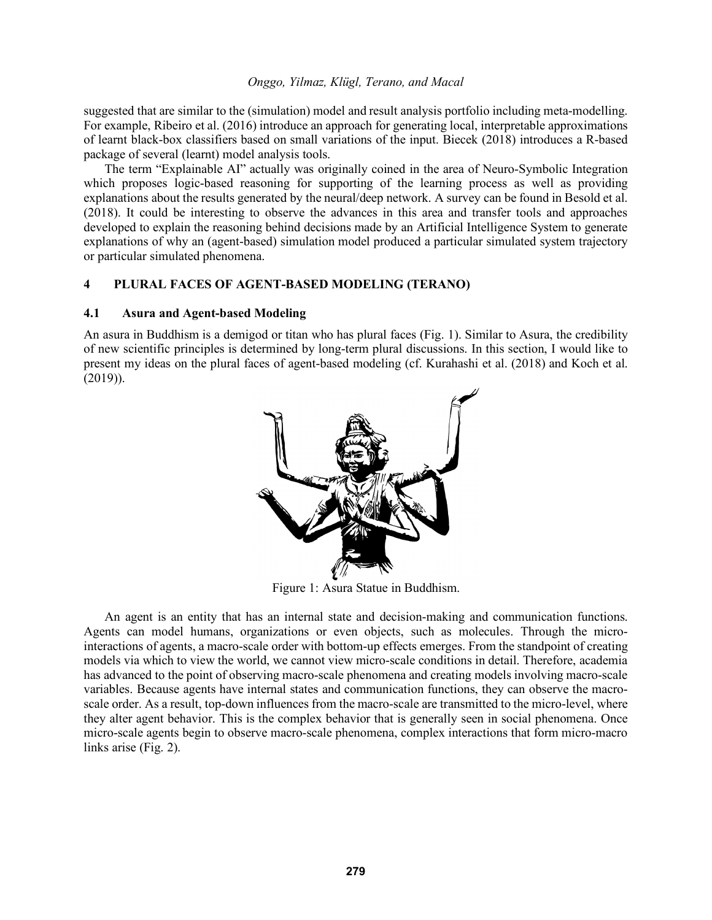suggested that are similar to the (simulation) model and result analysis portfolio including meta-modelling. For example, Ribeiro et al. (2016) introduce an approach for generating local, interpretable approximations of learnt black-box classifiers based on small variations of the input. Biecek (2018) introduces a R-based package of several (learnt) model analysis tools.

The term "Explainable AI" actually was originally coined in the area of Neuro-Symbolic Integration which proposes logic-based reasoning for supporting of the learning process as well as providing explanations about the results generated by the neural/deep network. A survey can be found in Besold et al. (2018). It could be interesting to observe the advances in this area and transfer tools and approaches developed to explain the reasoning behind decisions made by an Artificial Intelligence System to generate explanations of why an (agent-based) simulation model produced a particular simulated system trajectory or particular simulated phenomena.

# **4 PLURAL FACES OF AGENT-BASED MODELING (TERANO)**

#### **4.1 Asura and Agent-based Modeling**

An asura in Buddhism is a demigod or titan who has plural faces (Fig. 1). Similar to Asura, the credibility of new scientific principles is determined by long-term plural discussions. In this section, I would like to present my ideas on the plural faces of agent-based modeling (cf. Kurahashi et al. (2018) and Koch et al. (2019)).



Figure 1: Asura Statue in Buddhism.

An agent is an entity that has an internal state and decision-making and communication functions. Agents can model humans, organizations or even objects, such as molecules. Through the microinteractions of agents, a macro-scale order with bottom-up effects emerges. From the standpoint of creating models via which to view the world, we cannot view micro-scale conditions in detail. Therefore, academia has advanced to the point of observing macro-scale phenomena and creating models involving macro-scale variables. Because agents have internal states and communication functions, they can observe the macroscale order. As a result, top-down influences from the macro-scale are transmitted to the micro-level, where they alter agent behavior. This is the complex behavior that is generally seen in social phenomena. Once micro-scale agents begin to observe macro-scale phenomena, complex interactions that form micro-macro links arise (Fig. 2).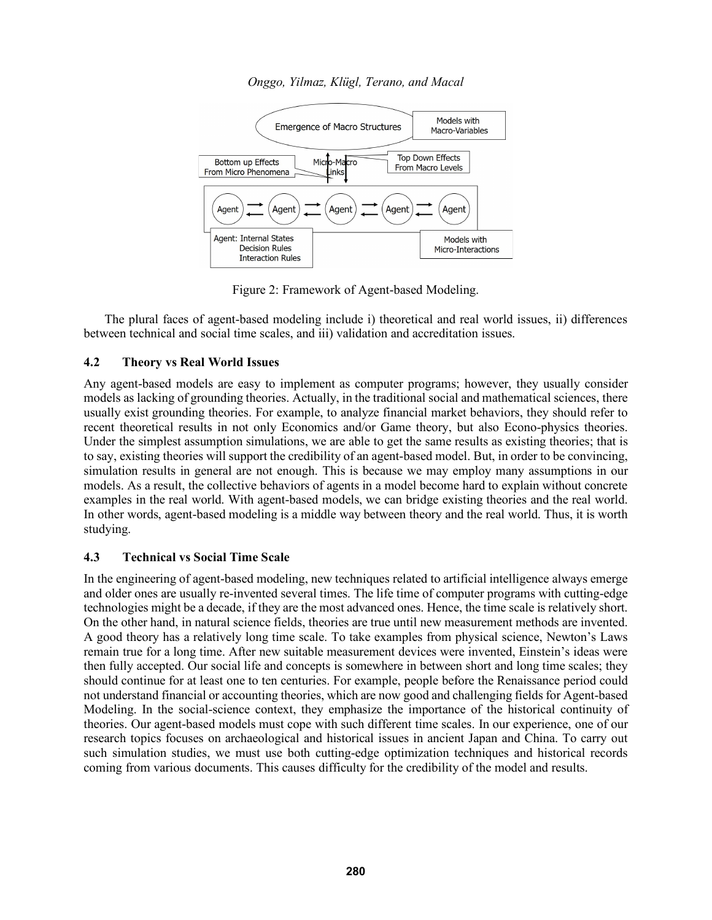

Figure 2: Framework of Agent-based Modeling.

The plural faces of agent-based modeling include i) theoretical and real world issues, ii) differences between technical and social time scales, and iii) validation and accreditation issues.

# **4.2 Theory vs Real World Issues**

Any agent-based models are easy to implement as computer programs; however, they usually consider models as lacking of grounding theories. Actually, in the traditional social and mathematical sciences, there usually exist grounding theories. For example, to analyze financial market behaviors, they should refer to recent theoretical results in not only Economics and/or Game theory, but also Econo-physics theories. Under the simplest assumption simulations, we are able to get the same results as existing theories; that is to say, existing theories will support the credibility of an agent-based model. But, in order to be convincing, simulation results in general are not enough. This is because we may employ many assumptions in our models. As a result, the collective behaviors of agents in a model become hard to explain without concrete examples in the real world. With agent-based models, we can bridge existing theories and the real world. In other words, agent-based modeling is a middle way between theory and the real world. Thus, it is worth studying.

# **4.3 Technical vs Social Time Scale**

In the engineering of agent-based modeling, new techniques related to artificial intelligence always emerge and older ones are usually re-invented several times. The life time of computer programs with cutting-edge technologies might be a decade, if they are the most advanced ones. Hence, the time scale is relatively short. On the other hand, in natural science fields, theories are true until new measurement methods are invented. A good theory has a relatively long time scale. To take examples from physical science, Newton's Laws remain true for a long time. After new suitable measurement devices were invented, Einstein's ideas were then fully accepted. Our social life and concepts is somewhere in between short and long time scales; they should continue for at least one to ten centuries. For example, people before the Renaissance period could not understand financial or accounting theories, which are now good and challenging fields for Agent-based Modeling. In the social-science context, they emphasize the importance of the historical continuity of theories. Our agent-based models must cope with such different time scales. In our experience, one of our research topics focuses on archaeological and historical issues in ancient Japan and China. To carry out such simulation studies, we must use both cutting-edge optimization techniques and historical records coming from various documents. This causes difficulty for the credibility of the model and results.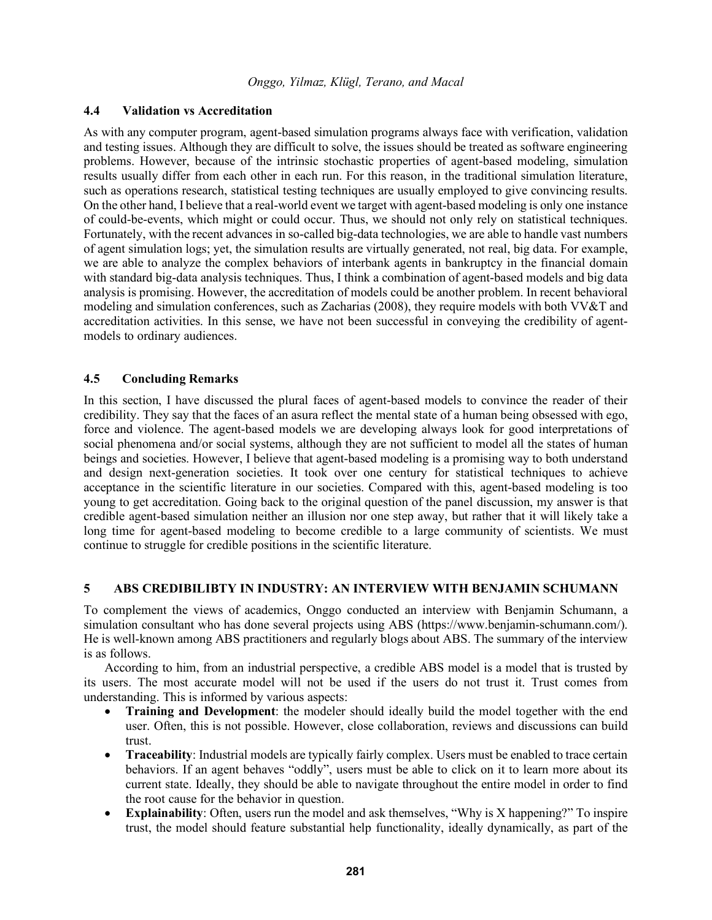#### **4.4 Validation vs Accreditation**

As with any computer program, agent-based simulation programs always face with verification, validation and testing issues. Although they are difficult to solve, the issues should be treated as software engineering problems. However, because of the intrinsic stochastic properties of agent-based modeling, simulation results usually differ from each other in each run. For this reason, in the traditional simulation literature, such as operations research, statistical testing techniques are usually employed to give convincing results. On the other hand, I believe that a real-world event we target with agent-based modeling is only one instance of could-be-events, which might or could occur. Thus, we should not only rely on statistical techniques. Fortunately, with the recent advances in so-called big-data technologies, we are able to handle vast numbers of agent simulation logs; yet, the simulation results are virtually generated, not real, big data. For example, we are able to analyze the complex behaviors of interbank agents in bankruptcy in the financial domain with standard big-data analysis techniques. Thus, I think a combination of agent-based models and big data analysis is promising. However, the accreditation of models could be another problem. In recent behavioral modeling and simulation conferences, such as Zacharias (2008), they require models with both VV&T and accreditation activities. In this sense, we have not been successful in conveying the credibility of agentmodels to ordinary audiences.

#### **4.5 Concluding Remarks**

In this section, I have discussed the plural faces of agent-based models to convince the reader of their credibility. They say that the faces of an asura reflect the mental state of a human being obsessed with ego, force and violence. The agent-based models we are developing always look for good interpretations of social phenomena and/or social systems, although they are not sufficient to model all the states of human beings and societies. However, I believe that agent-based modeling is a promising way to both understand and design next-generation societies. It took over one century for statistical techniques to achieve acceptance in the scientific literature in our societies. Compared with this, agent-based modeling is too young to get accreditation. Going back to the original question of the panel discussion, my answer is that credible agent-based simulation neither an illusion nor one step away, but rather that it will likely take a long time for agent-based modeling to become credible to a large community of scientists. We must continue to struggle for credible positions in the scientific literature.

# **5 ABS CREDIBILIBTY IN INDUSTRY: AN INTERVIEW WITH BENJAMIN SCHUMANN**

To complement the views of academics, Onggo conducted an interview with Benjamin Schumann, a simulation consultant who has done several projects using ABS (https://www.benjamin-schumann.com/). He is well-known among ABS practitioners and regularly blogs about ABS. The summary of the interview is as follows.

According to him, from an industrial perspective, a credible ABS model is a model that is trusted by its users. The most accurate model will not be used if the users do not trust it. Trust comes from understanding. This is informed by various aspects:

- **Training and Development**: the modeler should ideally build the model together with the end user. Often, this is not possible. However, close collaboration, reviews and discussions can build trust.
- **Traceability**: Industrial models are typically fairly complex. Users must be enabled to trace certain behaviors. If an agent behaves "oddly", users must be able to click on it to learn more about its current state. Ideally, they should be able to navigate throughout the entire model in order to find the root cause for the behavior in question.
- **Explainability**: Often, users run the model and ask themselves, "Why is X happening?" To inspire trust, the model should feature substantial help functionality, ideally dynamically, as part of the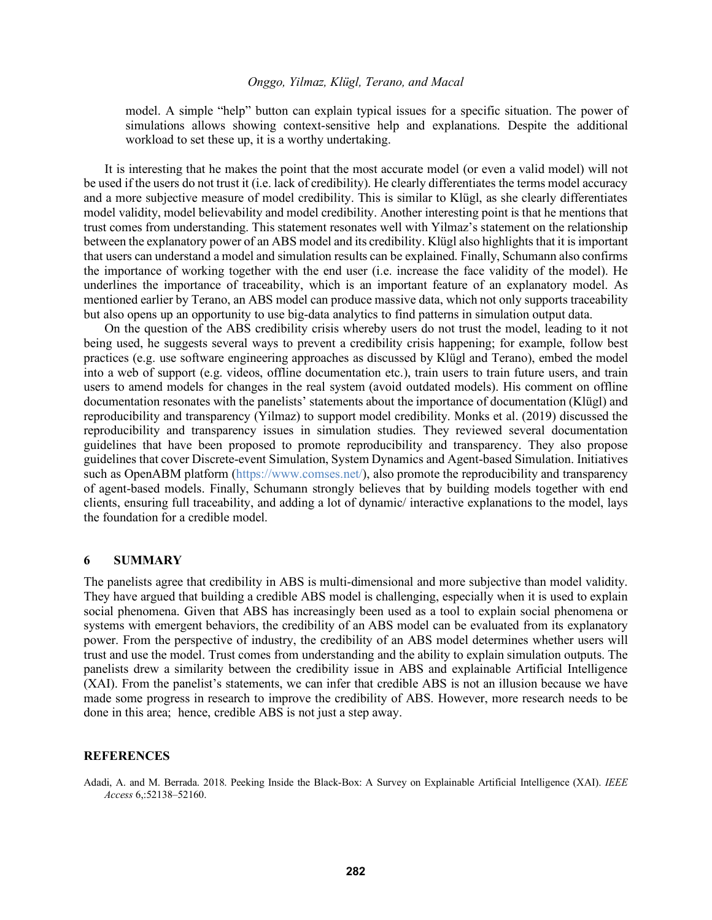model. A simple "help" button can explain typical issues for a specific situation. The power of simulations allows showing context-sensitive help and explanations. Despite the additional workload to set these up, it is a worthy undertaking.

It is interesting that he makes the point that the most accurate model (or even a valid model) will not be used if the users do not trust it (i.e. lack of credibility). He clearly differentiates the terms model accuracy and a more subjective measure of model credibility. This is similar to Klügl, as she clearly differentiates model validity, model believability and model credibility. Another interesting point is that he mentions that trust comes from understanding. This statement resonates well with Yilmaz's statement on the relationship between the explanatory power of an ABS model and its credibility. Klügl also highlights that it is important that users can understand a model and simulation results can be explained. Finally, Schumann also confirms the importance of working together with the end user (i.e. increase the face validity of the model). He underlines the importance of traceability, which is an important feature of an explanatory model. As mentioned earlier by Terano, an ABS model can produce massive data, which not only supports traceability but also opens up an opportunity to use big-data analytics to find patterns in simulation output data.

On the question of the ABS credibility crisis whereby users do not trust the model, leading to it not being used, he suggests several ways to prevent a credibility crisis happening; for example, follow best practices (e.g. use software engineering approaches as discussed by Klügl and Terano), embed the model into a web of support (e.g. videos, offline documentation etc.), train users to train future users, and train users to amend models for changes in the real system (avoid outdated models). His comment on offline documentation resonates with the panelists' statements about the importance of documentation (Klügl) and reproducibility and transparency (Yilmaz) to support model credibility. Monks et al. (2019) discussed the reproducibility and transparency issues in simulation studies. They reviewed several documentation guidelines that have been proposed to promote reproducibility and transparency. They also propose guidelines that cover Discrete-event Simulation, System Dynamics and Agent-based Simulation. Initiatives such as OpenABM platform (https://www.comses.net/), also promote the reproducibility and transparency of agent-based models. Finally, Schumann strongly believes that by building models together with end clients, ensuring full traceability, and adding a lot of dynamic/ interactive explanations to the model, lays the foundation for a credible model.

#### **6 SUMMARY**

The panelists agree that credibility in ABS is multi-dimensional and more subjective than model validity. They have argued that building a credible ABS model is challenging, especially when it is used to explain social phenomena. Given that ABS has increasingly been used as a tool to explain social phenomena or systems with emergent behaviors, the credibility of an ABS model can be evaluated from its explanatory power. From the perspective of industry, the credibility of an ABS model determines whether users will trust and use the model. Trust comes from understanding and the ability to explain simulation outputs. The panelists drew a similarity between the credibility issue in ABS and explainable Artificial Intelligence (XAI). From the panelist's statements, we can infer that credible ABS is not an illusion because we have made some progress in research to improve the credibility of ABS. However, more research needs to be done in this area; hence, credible ABS is not just a step away.

#### **REFERENCES**

Adadi, A. and M. Berrada. 2018. Peeking Inside the Black-Box: A Survey on Explainable Artificial Intelligence (XAI). *IEEE Access* 6,:52138–52160.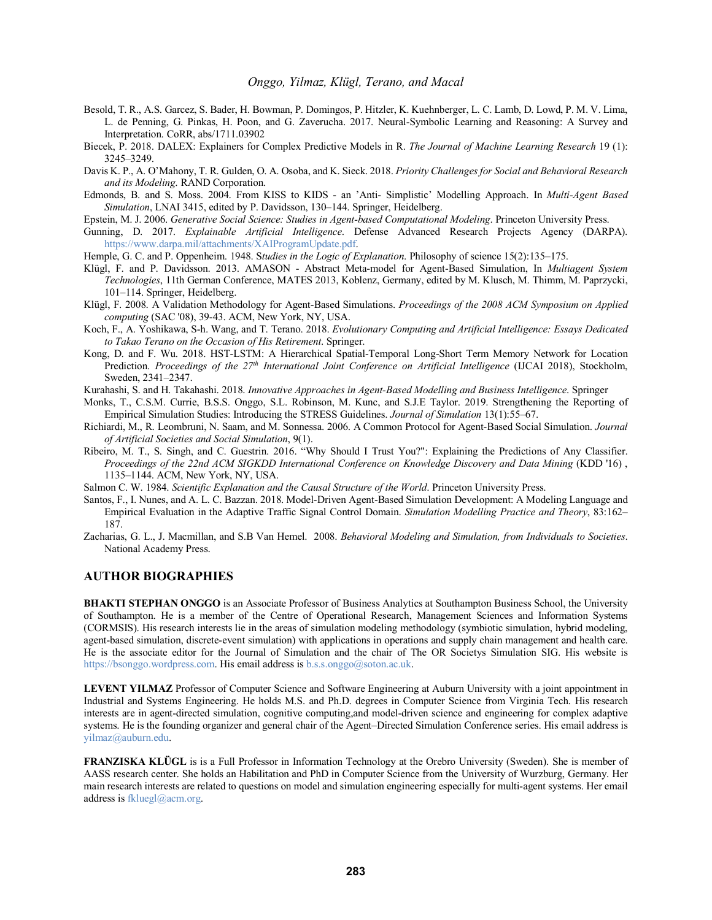- Besold, T. R., A.S. Garcez, S. Bader, H. Bowman, P. Domingos, P. Hitzler, K. Kuehnberger, L. C. Lamb, D. Lowd, P. M. V. Lima, L. de Penning, G. Pinkas, H. Poon, and G. Zaverucha. 2017. Neural-Symbolic Learning and Reasoning: A Survey and Interpretation. CoRR, abs/1711.03902
- Biecek, P. 2018. DALEX: Explainers for Complex Predictive Models in R. *The Journal of Machine Learning Research* 19 (1): 3245–3249.
- Davis K. P., A. O'Mahony, T. R. Gulden, O. A. Osoba, and K. Sieck. 2018. *Priority Challenges for Social and Behavioral Research and its Modeling*. RAND Corporation.
- Edmonds, B. and S. Moss. 2004. From KISS to KIDS an 'Anti- Simplistic' Modelling Approach. In *Multi-Agent Based Simulation*, LNAI 3415, edited by P. Davidsson, 130–144. Springer, Heidelberg.
- Epstein, M. J. 2006. *Generative Social Science: Studies in Agent-based Computational Modeling*. Princeton University Press.
- Gunning, D. 2017. *Explainable Artificial Intelligence*. Defense Advanced Research Projects Agency (DARPA). https://www.darpa.mil/attachments/XAIProgramUpdate.pdf.
- Hemple, G. C. and P. Oppenheim. 1948. S*tudies in the Logic of Explanation*. Philosophy of science 15(2):135–175.
- Klügl, F. and P. Davidsson. 2013. AMASON Abstract Meta-model for Agent-Based Simulation, In *Multiagent System Technologies*, 11th German Conference, MATES 2013, Koblenz, Germany, edited by M. Klusch, M. Thimm, M. Paprzycki, 101–114. Springer, Heidelberg.
- Klügl, F. 2008. A Validation Methodology for Agent-Based Simulations. *Proceedings of the 2008 ACM Symposium on Applied computing* (SAC '08), 39-43. ACM, New York, NY, USA.
- Koch, F., A. Yoshikawa, S-h. Wang, and T. Terano. 2018. *Evolutionary Computing and Artificial Intelligence: Essays Dedicated to Takao Terano on the Occasion of His Retirement*. Springer.
- Kong, D. and F. Wu. 2018. HST-LSTM: A Hierarchical Spatial-Temporal Long-Short Term Memory Network for Location Prediction. *Proceedings of the 27th International Joint Conference on Artificial Intelligence* (IJCAI 2018), Stockholm, Sweden, 2341–2347.
- Kurahashi, S. and H. Takahashi. 2018. *Innovative Approaches in Agent-Based Modelling and Business Intelligence*. Springer
- Monks, T., C.S.M. Currie, B.S.S. Onggo, S.L. Robinson, M. Kunc, and S.J.E Taylor. 2019. Strengthening the Reporting of Empirical Simulation Studies: Introducing the STRESS Guidelines. *Journal of Simulation* 13(1):55–67.
- Richiardi, M., R. Leombruni, N. Saam, and M. Sonnessa. 2006. A Common Protocol for Agent-Based Social Simulation. *Journal of Artificial Societies and Social Simulation*, 9(1).
- Ribeiro, M. T., S. Singh, and C. Guestrin. 2016. "Why Should I Trust You?": Explaining the Predictions of Any Classifier. *Proceedings of the 22nd ACM SIGKDD International Conference on Knowledge Discovery and Data Mining* (KDD '16) , 1135–1144. ACM, New York, NY, USA.
- Salmon C. W. 1984. *Scientific Explanation and the Causal Structure of the World*. Princeton University Press.
- Santos, F., I. Nunes, and A. L. C. Bazzan. 2018. Model-Driven Agent-Based Simulation Development: A Modeling Language and Empirical Evaluation in the Adaptive Traffic Signal Control Domain. *Simulation Modelling Practice and Theory*, 83:162– 187.
- Zacharias, G. L., J. Macmillan, and S.B Van Hemel. 2008. *Behavioral Modeling and Simulation, from Individuals to Societies*. National Academy Press.

#### **AUTHOR BIOGRAPHIES**

**BHAKTI STEPHAN ONGGO** is an Associate Professor of Business Analytics at Southampton Business School, the University of Southampton. He is a member of the Centre of Operational Research, Management Sciences and Information Systems (CORMSIS). His research interests lie in the areas of simulation modeling methodology (symbiotic simulation, hybrid modeling, agent-based simulation, discrete-event simulation) with applications in operations and supply chain management and health care. He is the associate editor for the Journal of Simulation and the chair of The OR Societys Simulation SIG. His website is https://bsonggo.wordpress.com. His email address is b.s.s.onggo@soton.ac.uk.

**LEVENT YILMAZ** Professor of Computer Science and Software Engineering at Auburn University with a joint appointment in Industrial and Systems Engineering. He holds M.S. and Ph.D. degrees in Computer Science from Virginia Tech. His research interests are in agent-directed simulation, cognitive computing,and model-driven science and engineering for complex adaptive systems. He is the founding organizer and general chair of the Agent–Directed Simulation Conference series. His email address is yilmaz@auburn.edu.

**FRANZISKA KLÜGL** is is a Full Professor in Information Technology at the Orebro University (Sweden). She is member of AASS research center. She holds an Habilitation and PhD in Computer Science from the University of Wurzburg, Germany. Her main research interests are related to questions on model and simulation engineering especially for multi-agent systems. Her email address is fkluegl@acm.org.